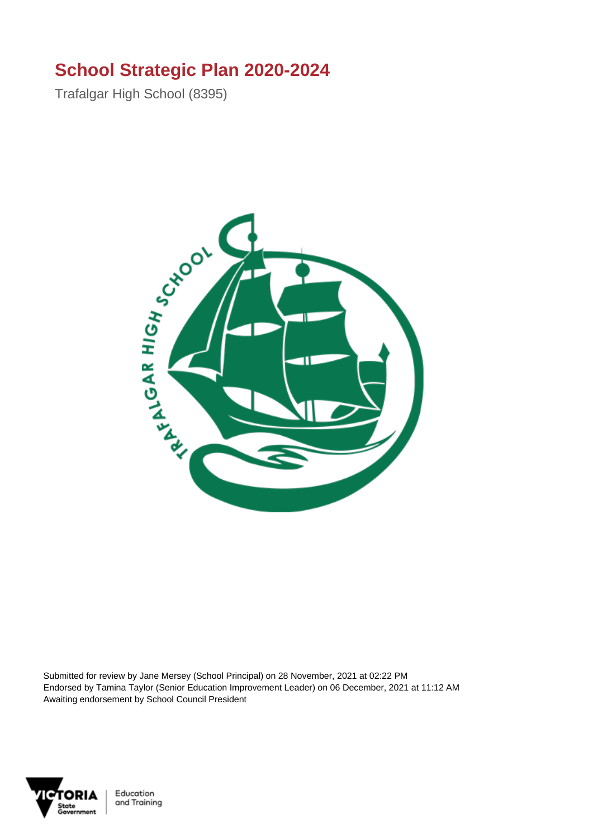### **School Strategic Plan 2020-2024**

Trafalgar High School (8395)



Submitted for review by Jane Mersey (School Principal) on 28 November, 2021 at 02:22 PM Endorsed by Tamina Taylor (Senior Education Improvement Leader) on 06 December, 2021 at 11:12 AM Awaiting endorsement by School Council President



Education and Training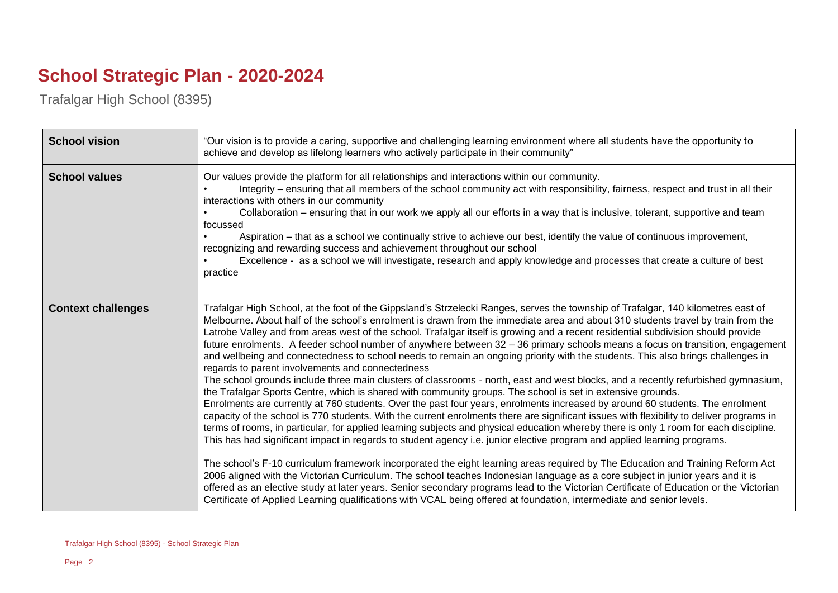## **School Strategic Plan - 2020-2024**

Trafalgar High School (8395)

| <b>School vision</b>      | "Our vision is to provide a caring, supportive and challenging learning environment where all students have the opportunity to<br>achieve and develop as lifelong learners who actively participate in their community"                                                                                                                                                                                                                                                                                                                                                                                                                                                                                                                                                                                                                                                                                                                                                                                                                                                                                                                                                                                                                                                                                                                                                                                                                                                                                                                                                                                                                                                                                                                                                                                                                                                                                                                                                                                                                                                         |
|---------------------------|---------------------------------------------------------------------------------------------------------------------------------------------------------------------------------------------------------------------------------------------------------------------------------------------------------------------------------------------------------------------------------------------------------------------------------------------------------------------------------------------------------------------------------------------------------------------------------------------------------------------------------------------------------------------------------------------------------------------------------------------------------------------------------------------------------------------------------------------------------------------------------------------------------------------------------------------------------------------------------------------------------------------------------------------------------------------------------------------------------------------------------------------------------------------------------------------------------------------------------------------------------------------------------------------------------------------------------------------------------------------------------------------------------------------------------------------------------------------------------------------------------------------------------------------------------------------------------------------------------------------------------------------------------------------------------------------------------------------------------------------------------------------------------------------------------------------------------------------------------------------------------------------------------------------------------------------------------------------------------------------------------------------------------------------------------------------------------|
| <b>School values</b>      | Our values provide the platform for all relationships and interactions within our community.<br>Integrity – ensuring that all members of the school community act with responsibility, fairness, respect and trust in all their<br>interactions with others in our community<br>Collaboration – ensuring that in our work we apply all our efforts in a way that is inclusive, tolerant, supportive and team<br>focussed<br>Aspiration – that as a school we continually strive to achieve our best, identify the value of continuous improvement,<br>recognizing and rewarding success and achievement throughout our school<br>Excellence - as a school we will investigate, research and apply knowledge and processes that create a culture of best<br>practice                                                                                                                                                                                                                                                                                                                                                                                                                                                                                                                                                                                                                                                                                                                                                                                                                                                                                                                                                                                                                                                                                                                                                                                                                                                                                                             |
| <b>Context challenges</b> | Trafalgar High School, at the foot of the Gippsland's Strzelecki Ranges, serves the township of Trafalgar, 140 kilometres east of<br>Melbourne. About half of the school's enrolment is drawn from the immediate area and about 310 students travel by train from the<br>Latrobe Valley and from areas west of the school. Trafalgar itself is growing and a recent residential subdivision should provide<br>future enrolments. A feeder school number of anywhere between 32 - 36 primary schools means a focus on transition, engagement<br>and wellbeing and connectedness to school needs to remain an ongoing priority with the students. This also brings challenges in<br>regards to parent involvements and connectedness<br>The school grounds include three main clusters of classrooms - north, east and west blocks, and a recently refurbished gymnasium,<br>the Trafalgar Sports Centre, which is shared with community groups. The school is set in extensive grounds.<br>Enrolments are currently at 760 students. Over the past four years, enrolments increased by around 60 students. The enrolment<br>capacity of the school is 770 students. With the current enrolments there are significant issues with flexibility to deliver programs in<br>terms of rooms, in particular, for applied learning subjects and physical education whereby there is only 1 room for each discipline.<br>This has had significant impact in regards to student agency i.e. junior elective program and applied learning programs.<br>The school's F-10 curriculum framework incorporated the eight learning areas required by The Education and Training Reform Act<br>2006 aligned with the Victorian Curriculum. The school teaches Indonesian language as a core subject in junior years and it is<br>offered as an elective study at later years. Senior secondary programs lead to the Victorian Certificate of Education or the Victorian<br>Certificate of Applied Learning qualifications with VCAL being offered at foundation, intermediate and senior levels. |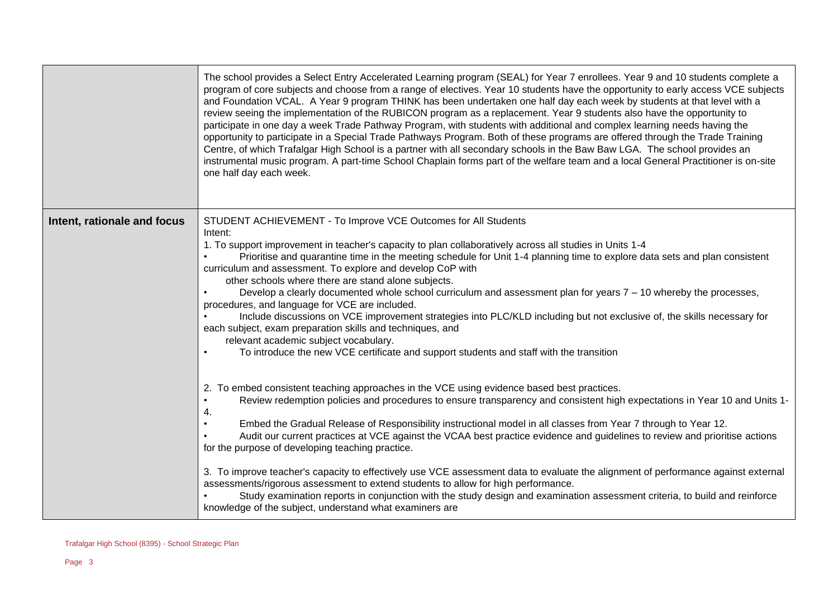|                             | The school provides a Select Entry Accelerated Learning program (SEAL) for Year 7 enrollees. Year 9 and 10 students complete a<br>program of core subjects and choose from a range of electives. Year 10 students have the opportunity to early access VCE subjects<br>and Foundation VCAL. A Year 9 program THINK has been undertaken one half day each week by students at that level with a<br>review seeing the implementation of the RUBICON program as a replacement. Year 9 students also have the opportunity to<br>participate in one day a week Trade Pathway Program, with students with additional and complex learning needs having the<br>opportunity to participate in a Special Trade Pathways Program. Both of these programs are offered through the Trade Training<br>Centre, of which Trafalgar High School is a partner with all secondary schools in the Baw Baw LGA. The school provides an<br>instrumental music program. A part-time School Chaplain forms part of the welfare team and a local General Practitioner is on-site<br>one half day each week. |
|-----------------------------|-------------------------------------------------------------------------------------------------------------------------------------------------------------------------------------------------------------------------------------------------------------------------------------------------------------------------------------------------------------------------------------------------------------------------------------------------------------------------------------------------------------------------------------------------------------------------------------------------------------------------------------------------------------------------------------------------------------------------------------------------------------------------------------------------------------------------------------------------------------------------------------------------------------------------------------------------------------------------------------------------------------------------------------------------------------------------------------|
| Intent, rationale and focus | STUDENT ACHIEVEMENT - To Improve VCE Outcomes for All Students<br>Intent:<br>1. To support improvement in teacher's capacity to plan collaboratively across all studies in Units 1-4<br>Prioritise and quarantine time in the meeting schedule for Unit 1-4 planning time to explore data sets and plan consistent<br>curriculum and assessment. To explore and develop CoP with<br>other schools where there are stand alone subjects.<br>Develop a clearly documented whole school curriculum and assessment plan for years 7 - 10 whereby the processes,<br>procedures, and language for VCE are included.<br>Include discussions on VCE improvement strategies into PLC/KLD including but not exclusive of, the skills necessary for<br>each subject, exam preparation skills and techniques, and<br>relevant academic subject vocabulary.<br>To introduce the new VCE certificate and support students and staff with the transition<br>$\bullet$                                                                                                                              |
|                             | 2. To embed consistent teaching approaches in the VCE using evidence based best practices.<br>Review redemption policies and procedures to ensure transparency and consistent high expectations in Year 10 and Units 1-<br>$\bullet$<br>4.<br>Embed the Gradual Release of Responsibility instructional model in all classes from Year 7 through to Year 12.<br>$\bullet$<br>Audit our current practices at VCE against the VCAA best practice evidence and guidelines to review and prioritise actions<br>for the purpose of developing teaching practice.<br>3. To improve teacher's capacity to effectively use VCE assessment data to evaluate the alignment of performance against external<br>assessments/rigorous assessment to extend students to allow for high performance.<br>Study examination reports in conjunction with the study design and examination assessment criteria, to build and reinforce<br>knowledge of the subject, understand what examiners are                                                                                                      |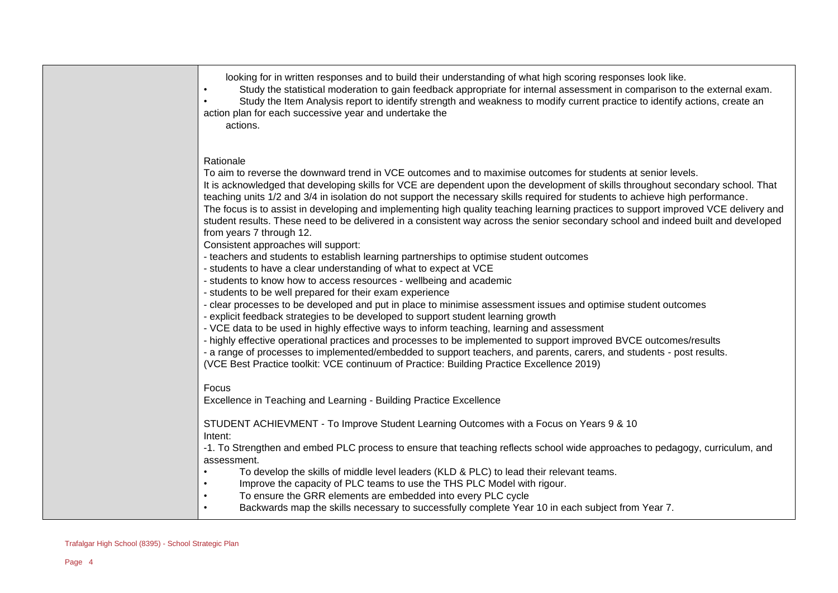looking for in written responses and to build their understanding of what high scoring responses look like.

• Study the statistical moderation to gain feedback appropriate for internal assessment in comparison to the external exam.

Study the Item Analysis report to identify strength and weakness to modify current practice to identify actions, create an action plan for each successive year and undertake the

actions.

### Rationale

To aim to reverse the downward trend in VCE outcomes and to maximise outcomes for students at senior levels. It is acknowledged that developing skills for VCE are dependent upon the development of skills throughout secondary school. That teaching units 1/2 and 3/4 in isolation do not support the necessary skills required for students to achieve high performance. The focus is to assist in developing and implementing high quality teaching learning practices to support improved VCE delivery and student results. These need to be delivered in a consistent way across the senior secondary school and indeed built and developed from years 7 through 12. Consistent approaches will support: - teachers and students to establish learning partnerships to optimise student outcomes - students to have a clear understanding of what to expect at VCE - students to know how to access resources - wellbeing and academic - students to be well prepared for their exam experience - clear processes to be developed and put in place to minimise assessment issues and optimise student outcomes - explicit feedback strategies to be developed to support student learning growth - VCE data to be used in highly effective ways to inform teaching, learning and assessment - highly effective operational practices and processes to be implemented to support improved BVCE outcomes/results - a range of processes to implemented/embedded to support teachers, and parents, carers, and students - post results. (VCE Best Practice toolkit: VCE continuum of Practice: Building Practice Excellence 2019) Focus Excellence in Teaching and Learning - Building Practice Excellence STUDENT ACHIEVMENT - To Improve Student Learning Outcomes with a Focus on Years 9 & 10 Intent: -1. To Strengthen and embed PLC process to ensure that teaching reflects school wide approaches to pedagogy, curriculum, and assessment. • To develop the skills of middle level leaders (KLD & PLC) to lead their relevant teams.

- Improve the capacity of PLC teams to use the THS PLC Model with rigour.
- To ensure the GRR elements are embedded into every PLC cycle
- Backwards map the skills necessary to successfully complete Year 10 in each subject from Year 7.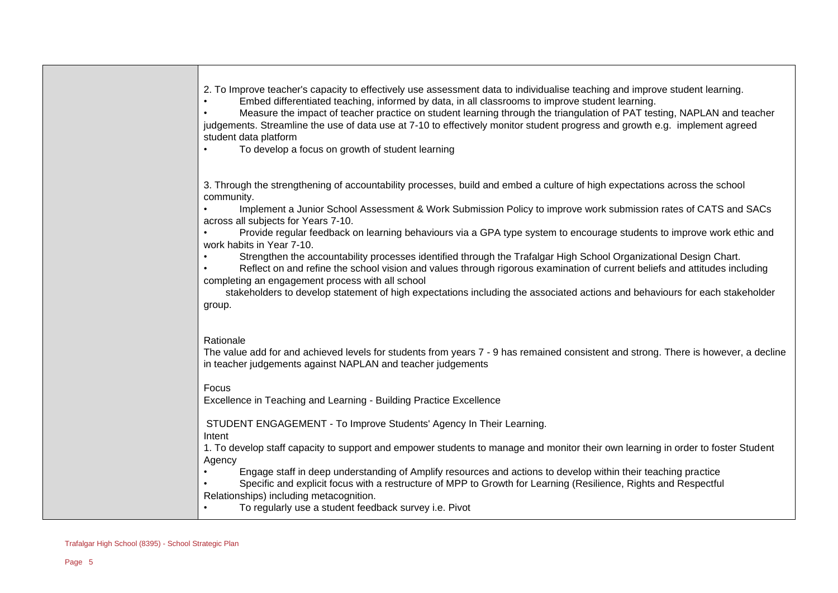| 2. To Improve teacher's capacity to effectively use assessment data to individualise teaching and improve student learning. |  |  |  |  |
|-----------------------------------------------------------------------------------------------------------------------------|--|--|--|--|
|                                                                                                                             |  |  |  |  |

• Embed differentiated teaching, informed by data, in all classrooms to improve student learning.

• Measure the impact of teacher practice on student learning through the triangulation of PAT testing, NAPLAN and teacher judgements. Streamline the use of data use at 7-10 to effectively monitor student progress and growth e.g. implement agreed student data platform

• To develop a focus on growth of student learning

3. Through the strengthening of accountability processes, build and embed a culture of high expectations across the school community.

• Implement a Junior School Assessment & Work Submission Policy to improve work submission rates of CATS and SACs across all subjects for Years 7-10.

• Provide regular feedback on learning behaviours via a GPA type system to encourage students to improve work ethic and work habits in Year 7-10.

• Strengthen the accountability processes identified through the Trafalgar High School Organizational Design Chart.

• Reflect on and refine the school vision and values through rigorous examination of current beliefs and attitudes including completing an engagement process with all school

 stakeholders to develop statement of high expectations including the associated actions and behaviours for each stakeholder group.

#### Rationale

The value add for and achieved levels for students from years 7 - 9 has remained consistent and strong. There is however, a decline in teacher judgements against NAPLAN and teacher judgements

#### Focus

Excellence in Teaching and Learning - Building Practice Excellence

STUDENT ENGAGEMENT - To Improve Students' Agency In Their Learning.

Intent

1. To develop staff capacity to support and empower students to manage and monitor their own learning in order to foster Student Agency

- Engage staff in deep understanding of Amplify resources and actions to develop within their teaching practice
- Specific and explicit focus with a restructure of MPP to Growth for Learning (Resilience, Rights and Respectful

Relationships) including metacognition.

• To regularly use a student feedback survey i.e. Pivot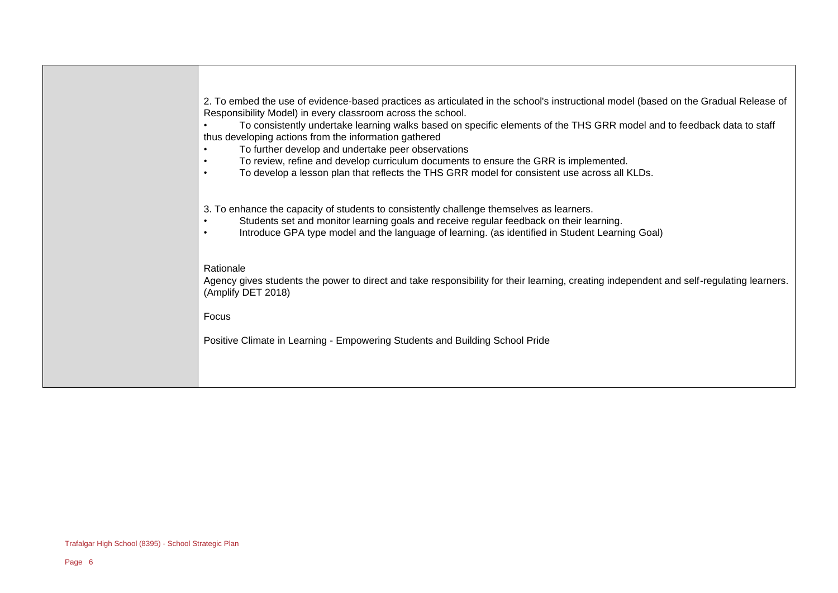| 2. To embed the use of evidence-based practices as articulated in the school's instructional model (based on the Gradual Release of<br>To consistently undertake learning walks based on specific elements of the THS GRR model and to feedback data to staff<br>To review, refine and develop curriculum documents to ensure the GRR is implemented. |
|-------------------------------------------------------------------------------------------------------------------------------------------------------------------------------------------------------------------------------------------------------------------------------------------------------------------------------------------------------|
| To develop a lesson plan that reflects the THS GRR model for consistent use across all KLDs.                                                                                                                                                                                                                                                          |
| 3. To enhance the capacity of students to consistently challenge themselves as learners.<br>Students set and monitor learning goals and receive regular feedback on their learning.<br>Introduce GPA type model and the language of learning. (as identified in Student Learning Goal)                                                                |
| Agency gives students the power to direct and take responsibility for their learning, creating independent and self-regulating learners.                                                                                                                                                                                                              |
|                                                                                                                                                                                                                                                                                                                                                       |
|                                                                                                                                                                                                                                                                                                                                                       |
|                                                                                                                                                                                                                                                                                                                                                       |
|                                                                                                                                                                                                                                                                                                                                                       |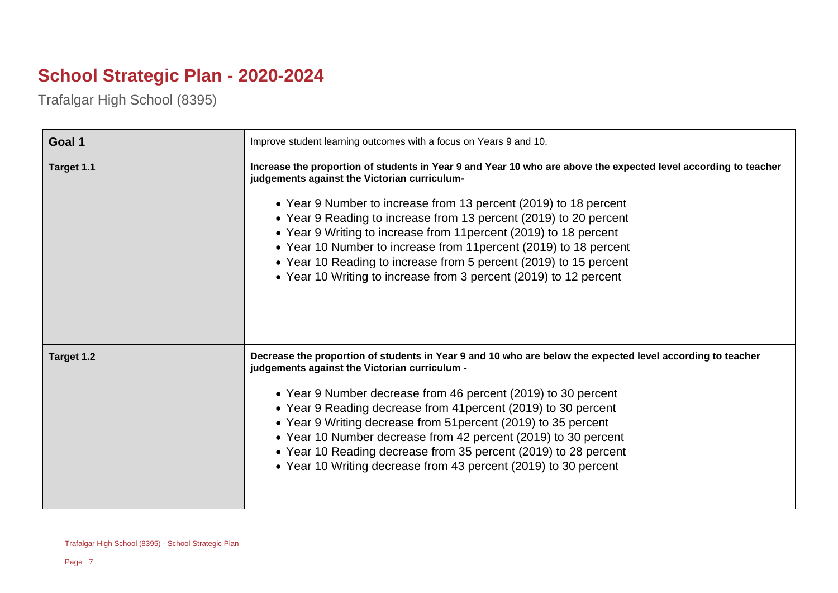# **School Strategic Plan - 2020-2024**

Trafalgar High School (8395)

| Goal 1     | Improve student learning outcomes with a focus on Years 9 and 10.                                                                                                                                                                                                                                                                                                                                                                                                                                                                                                                            |  |
|------------|----------------------------------------------------------------------------------------------------------------------------------------------------------------------------------------------------------------------------------------------------------------------------------------------------------------------------------------------------------------------------------------------------------------------------------------------------------------------------------------------------------------------------------------------------------------------------------------------|--|
| Target 1.1 | Increase the proportion of students in Year 9 and Year 10 who are above the expected level according to teacher<br>judgements against the Victorian curriculum-<br>• Year 9 Number to increase from 13 percent (2019) to 18 percent<br>• Year 9 Reading to increase from 13 percent (2019) to 20 percent<br>• Year 9 Writing to increase from 11 percent (2019) to 18 percent<br>• Year 10 Number to increase from 11 percent (2019) to 18 percent<br>• Year 10 Reading to increase from 5 percent (2019) to 15 percent<br>• Year 10 Writing to increase from 3 percent (2019) to 12 percent |  |
| Target 1.2 | Decrease the proportion of students in Year 9 and 10 who are below the expected level according to teacher<br>judgements against the Victorian curriculum -<br>• Year 9 Number decrease from 46 percent (2019) to 30 percent<br>• Year 9 Reading decrease from 41 percent (2019) to 30 percent<br>• Year 9 Writing decrease from 51 percent (2019) to 35 percent<br>• Year 10 Number decrease from 42 percent (2019) to 30 percent<br>• Year 10 Reading decrease from 35 percent (2019) to 28 percent<br>• Year 10 Writing decrease from 43 percent (2019) to 30 percent                     |  |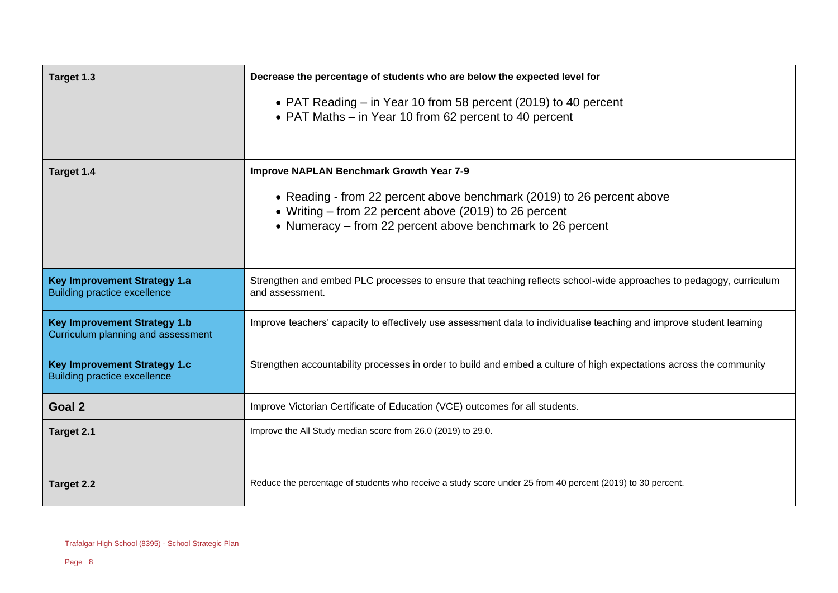| Target 1.3                                                                 | Decrease the percentage of students who are below the expected level for                                                                                                                       |  |
|----------------------------------------------------------------------------|------------------------------------------------------------------------------------------------------------------------------------------------------------------------------------------------|--|
|                                                                            | • PAT Reading – in Year 10 from 58 percent (2019) to 40 percent<br>• PAT Maths – in Year 10 from 62 percent to 40 percent                                                                      |  |
| Target 1.4                                                                 | <b>Improve NAPLAN Benchmark Growth Year 7-9</b>                                                                                                                                                |  |
|                                                                            | • Reading - from 22 percent above benchmark (2019) to 26 percent above<br>• Writing – from 22 percent above (2019) to 26 percent<br>• Numeracy – from 22 percent above benchmark to 26 percent |  |
| <b>Key Improvement Strategy 1.a</b><br><b>Building practice excellence</b> | Strengthen and embed PLC processes to ensure that teaching reflects school-wide approaches to pedagogy, curriculum<br>and assessment.                                                          |  |
| <b>Key Improvement Strategy 1.b</b><br>Curriculum planning and assessment  | Improve teachers' capacity to effectively use assessment data to individualise teaching and improve student learning                                                                           |  |
| <b>Key Improvement Strategy 1.c</b><br><b>Building practice excellence</b> | Strengthen accountability processes in order to build and embed a culture of high expectations across the community                                                                            |  |
| Goal 2                                                                     | Improve Victorian Certificate of Education (VCE) outcomes for all students.                                                                                                                    |  |
| Target 2.1                                                                 | Improve the All Study median score from 26.0 (2019) to 29.0.                                                                                                                                   |  |
| Target 2.2                                                                 | Reduce the percentage of students who receive a study score under 25 from 40 percent (2019) to 30 percent.                                                                                     |  |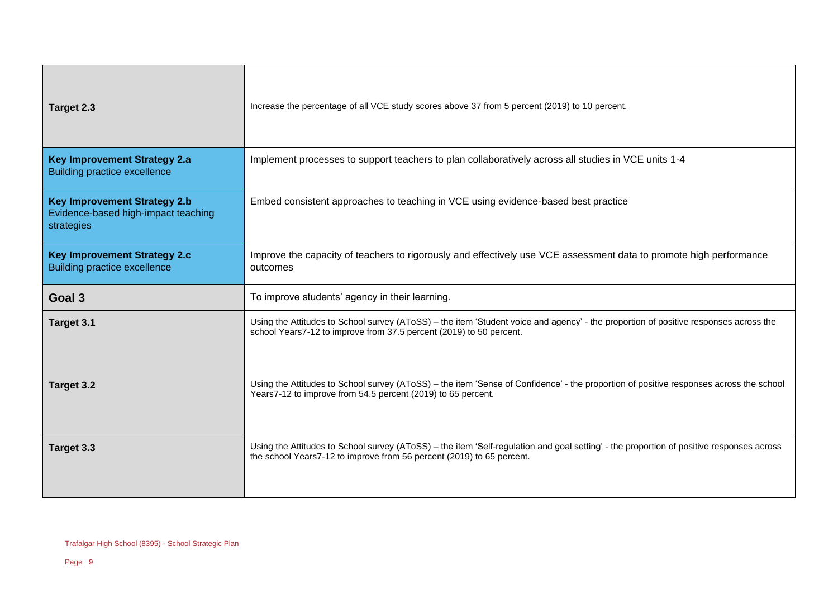| Target 2.3                                                                               | Increase the percentage of all VCE study scores above 37 from 5 percent (2019) to 10 percent.                                                                                                                     |
|------------------------------------------------------------------------------------------|-------------------------------------------------------------------------------------------------------------------------------------------------------------------------------------------------------------------|
| <b>Key Improvement Strategy 2.a</b><br><b>Building practice excellence</b>               | Implement processes to support teachers to plan collaboratively across all studies in VCE units 1-4                                                                                                               |
| <b>Key Improvement Strategy 2.b</b><br>Evidence-based high-impact teaching<br>strategies | Embed consistent approaches to teaching in VCE using evidence-based best practice                                                                                                                                 |
| <b>Key Improvement Strategy 2.c</b><br><b>Building practice excellence</b>               | Improve the capacity of teachers to rigorously and effectively use VCE assessment data to promote high performance<br>outcomes                                                                                    |
| Goal 3                                                                                   | To improve students' agency in their learning.                                                                                                                                                                    |
| Target 3.1                                                                               | Using the Attitudes to School survey (AToSS) – the item 'Student voice and agency' - the proportion of positive responses across the<br>school Years7-12 to improve from 37.5 percent (2019) to 50 percent.       |
| Target 3.2                                                                               | Using the Attitudes to School survey (AToSS) – the item 'Sense of Confidence' - the proportion of positive responses across the school<br>Years7-12 to improve from 54.5 percent (2019) to 65 percent.            |
| Target 3.3                                                                               | Using the Attitudes to School survey (AToSS) – the item 'Self-regulation and goal setting' - the proportion of positive responses across<br>the school Years7-12 to improve from 56 percent (2019) to 65 percent. |